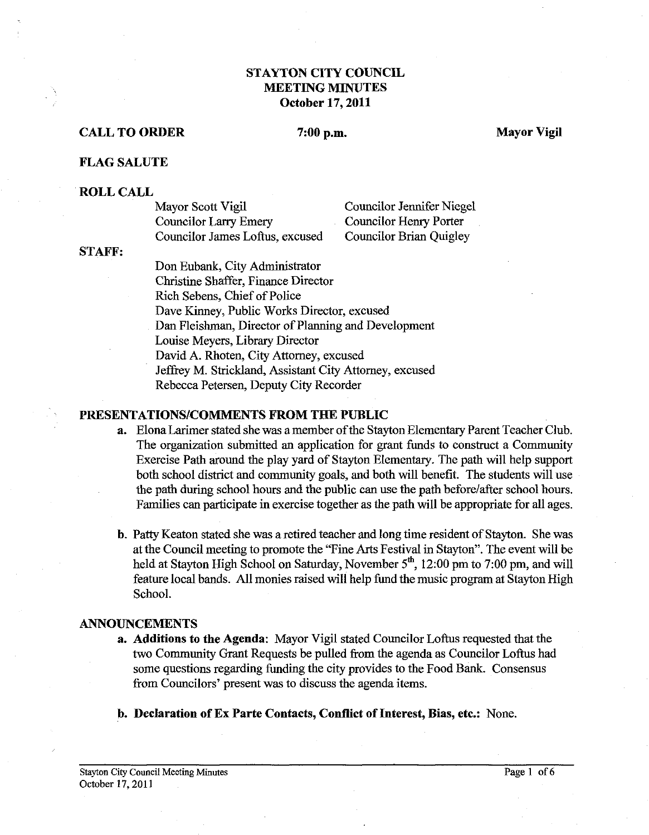# **STAYTON CITY COUNCIL MEETING MINUTES October 17,2011**

# **CALL TO ORDER** 7:00 p.m. Mayor Vigil

#### **FLAG SALUTE**

### **ROLL CALL**

| Mayor Scott Vigil               |
|---------------------------------|
| <b>Councilor Larry Emery</b>    |
| Councilor James Loftus, excused |

Councilor Jennifer Niegel Councilor Henry Porter Councilor Brian Quigley

#### **STAFF:**

Don Eubank, City Administrator Christine Shaffer, Finance Director Rich Sebens, Chief of Police Dave Kinney, Public Works Director, excused Dan Fleishman, Director of Planning and Development Louise Meyers, Library Director David A. Rhoten, City Attorney, excused Jeffrey M. Strickland, Assistant City Attorney, excused Rebecca Petersen, Deputy City Recorder

## **PRESENTATIONS/COMMENTS FROM THE PUBLIC**

- **a.** Elona Larimer stated she was a member of the Stayton Elementary Parent Teacher Club. The organization submitted an application for grant funds to construct a Community Exercise Path around the play yard of Stayton Elementary. The path will help support both school district and community goals, and both will benefit. The students will use the path during school hours and the public can use the path beforelafter school hours. Families can participate in exercise together as the path will be appropriate for all ages.
- **b.** Patty Keaton stated she was a retired teacher and long time resident of Stayton. She was at the Council meeting to promote the "Fine Arts Festival in Stayton". The event will be held at Stayton High School on Saturday, November 5<sup>th</sup>, 12:00 pm to 7:00 pm, and will feature local bands. All monies raised will help fund the music program at Stayton High School.

## **ANNOUNCEMENTS**

- **a. Additions to the Agenda:** Mayor Vigil stated Councilor Loftus requested that the two Community Grant Requests be pulled from the agenda as Councilor Loftus had some questions regarding funding the city provides to the Food Bank. Consensus from Councilors' present was to discuss the agenda items.
- **b. Declaration of Ex Parte Contacts, Conflict of Interest, Bias, etc.:** None.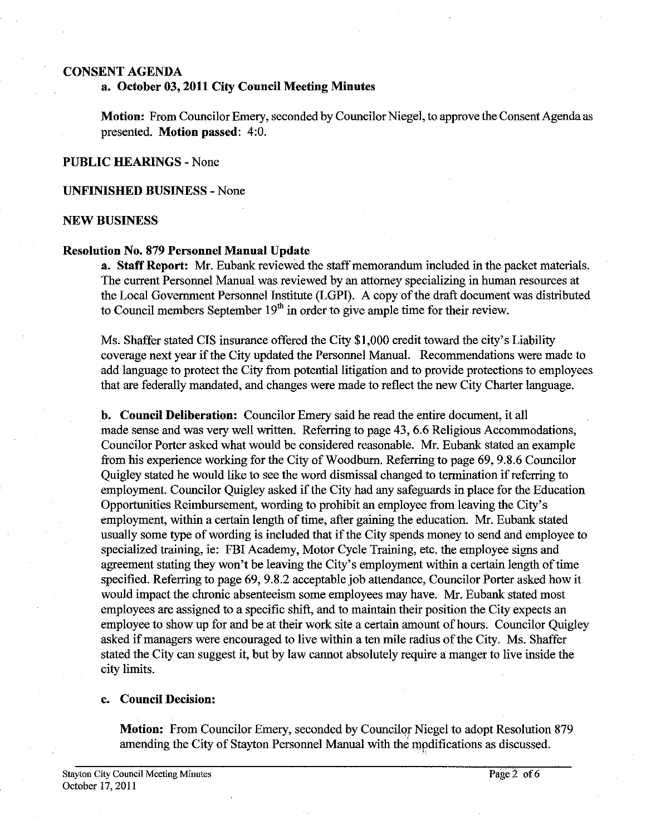#### **CONSENT AGENDA**

## **a. October 03,2011 City Council Meeting Minutes**

**Motion:** From Councilor Emery, seconded by Councilor Niegel, to approve the Consent Agenda as presented. **Motion passed:** 4:O.

**PUBLIC HEARINGS** - None

**UNFINISHED BUSINESS** - None

#### **NEW BUSINESS**

## **Resolution No. 879 Personnel Manual Update**

**a. Staff Report:** Mr. Eubank reviewed the staff memorandum included in the packet materials. The current Personnel Manual was reviewed by **an** attorney specializing in human resources at the Local Government Personnel Institute (LGPI). A copy of the draft document was distributed to Council members September  $19<sup>th</sup>$  in order to give ample time for their review.

Ms. Shaffer stated CIS insurance offered the City \$1,000 credit toward the city's Liability coverage next year if the City updated the Personnel Manual. Recommendations were made to add language to protect the City fiom potential litigation and to provide protections to employees that are federally mandated, and changes were made to reflect the new City Charter language.

**b. Council Deliberation:** Councilor Emery said he read the entire document, it all made sense and was very well written. Referring to page 43,6.6 Religious Accommodations, Councilor Porter asked what would be considered reasonable. Mr. Eubank stated an example from his experience working for the City of Woodburn. Refening to page 69,9.8.6 Councilor Quigley stated he would like to see the word dismissal changed to termination if referring to employment. Councilor Quigley asked if the City had any safeguards in place for the Education Opportunities Reimbursement, wording to prohibit an employee fiom leaving the City's employment, within a certain length of time, after gaining the education. Mr. Eubank stated usually some type of wording is included that if the City spends money to send and employee to specialized training, ie: FBI Academy, Motor Cycle Training, etc. the employee signs and agreement stating they won't be leaving the City's employment within a certain length of time specified. Referring to page 69, 9.8.2 acceptable job attendance, Councilor Porter asked how it would impact the chronic absenteeism some employees may have. Mr. Eubank stated most employees are assigned to a specific shift, and to maintain their position the City expects **an**  employee to show up for and be at their work site a certain amount of hours. Councilor Quigley asked if managers were encouraged to live within a ten mile radius of the City. Ms. Shafferstated the City can suggest it, but by law cannot absolutely require a manger to live inside the city limits.

## **c. Council Decision:**

**Motion:** From Councilor Emery, seconded by Councilor Niegel to adopt Resolution 879 amending the City of Stayton Personnel Manual with the modifications as discussed.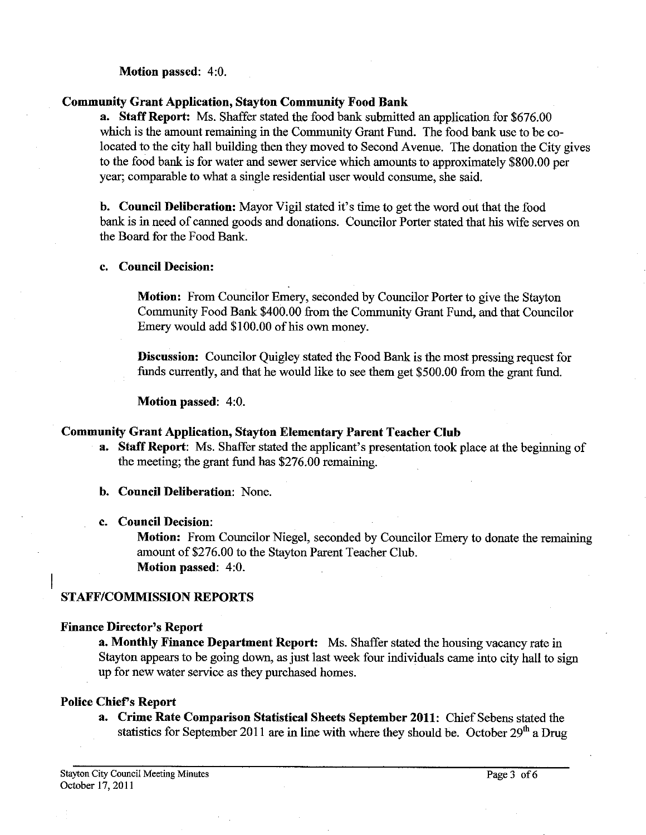## **Motion passed:** 4:O.

# **Community Grant Application, Stayton Community Food Bank**

**a. Staff Report:** Ms. Shaffer stated the food bank submitted an application for \$676.00 which is the amount remaining in the Community Grant Fund. The food bank use to be colocated to the city hall building then they moved to Second Avenue. The donation the City gives to the food bank is for water and sewer service which amounts to approximately \$800.00 per year; comparable to what a single residential user would consume, she said.

**b. Council Deliberation:** Mayor Vigil stated it's time to get the word out that the food bank is in need of canned goods and donations. Councilor Porter stated that his wife serves on the Board for the Food Bank.

## **c. Council Decision:**

**Motion:** From Councilor Emery, seconded by Councilor Porter to give the Stayton Community Food Bank \$400.00 from the Community Grant Fund, and that Councilor Emery would add \$100.00 of his own money.

**Discussion:** Councilor Quigley stated the Food Bank is the most pressing request for funds currently, and that he would like to see them get \$500.00 from the grant fund.

**Motion passed:** 4:O.

# **Community Grant Application, Stayton Elementary Parent Teacher Club**

- **a. Staff Report:** Ms. Shaffer stated the applicant's presentation took place at the beginning of the meeting; the grant fund has \$276.00 remaining.
- **b. Council Deliberation:** None.

## **c. Council Decision:**

**Motion:** From Councilor Niegel, seconded by Councilor Emery to donate the remaining amount of \$276.00 to the Stayton Parent Teacher Club. **Motion passed:** 4:O.

#### I **STAFFICOMMISSION REPORTS**

## **Finance Director's Report**

**a. Monthly Finance Department Report:** Ms. Shaffer stated the housing vacancy rate in Stayton appears to be going down, as just last week four individuals came into city hall to sign up for new water service as they purchased homes.

## **Police Chief's Report**

**a. Crime Rate Comparison Statistical Sheets September 2011:** Chief Sebens stated the statistics for September 2011 are in line with where they should be. October  $29<sup>th</sup>$  a Drug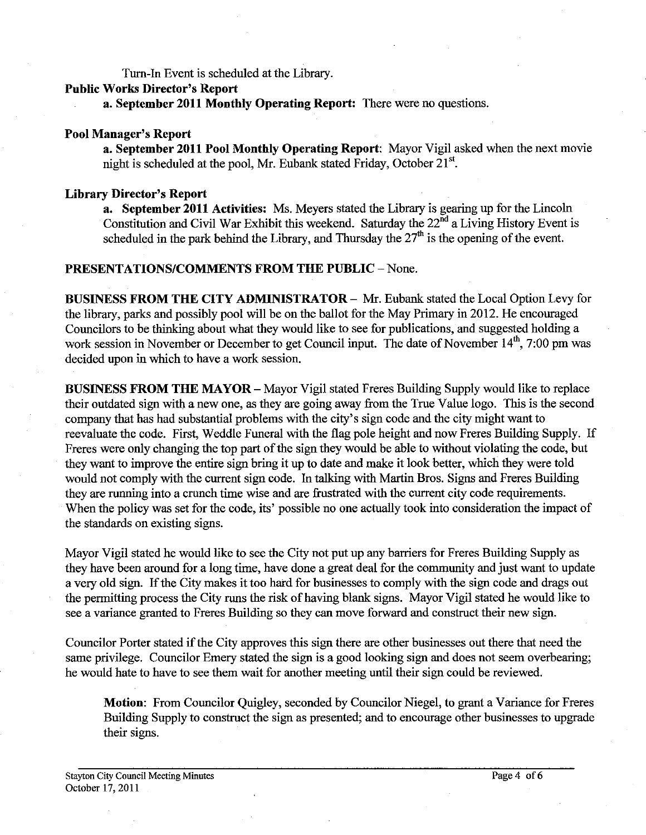Turn-In Event is scheduled at the Library.

# Public Works Director's Report

a. September **2011** Monthly Operating Report: There were no questions.

# Pool Manager's Report

a. September **2011** Pool Monthly Operating Report: Mayor Vigil asked when the next movie night is scheduled at the pool, Mr. Eubank stated Friday, October  $21^{st}$ .

# Library Director's Report

a. September **2011** Activities: Ms. Meyers stated the Library is gearing up for the Lmcoln Constitution and Civil War Exhibit this weekend. Saturday the 22<sup>nd</sup> a Living History Event is scheduled in the park behind the Library, and Thursday the **27'h** is the opening of the event.

# PRESENTATIONS/COMMENTS FROM THE PUBLIC - None.

BUSINESS FROM THE CITY ADMINISTRATOR - Mr. Eubank stated the Local Option Levy for the library, parks and possibly pool will be on the ballot for the May Primary in 2012. He encouraged Councilors to be thinking about what they would like to see for publications, and suggested holding a work session in November or December to get Council input. The date of November 14<sup>th</sup>, 7:00 pm was decided upon in which to have a work session.

BUSINESS FROM THE MAYOR - Mayor Vigil stated Freres Building Supply would like to replace their outdated sign with a new one, as they are going away from the True Value logo. This is the second company that has had substantial problems with the city's sign code and the city might want to reevaluate the code. First, Weddle Funeral with the flag pole height and now Freres Building Supply. If Freres were only changing the top part of the sign they would be able to without violating the code, but they want to improve the entire sign bring it up to date and make it look better, which they were told would not comply with the current sign code. In talking with Martin Bros. Signs and Freres Building they are running into a crunch time wise and are frustrated with the current city code requirements. When the policy was set for the code, its' possible no one actually took into consideration the impact of the standards on existing signs.

Mayor Vigil stated he would like to see the City not put up any barriers for Freres Building Supply as they have been around for a long time, have done a great deal for the community and just want to update a very old sign. If the City makes it too hard for businesses to comply with the sign code and drags out the permitting process the City runs the risk of having blank signs. Mayor Vigil stated he would like to see a variance granted to Freres Building so they can move forward and construct their new sign.

Councilor Porter stated if the City approves this sign there are other businesses out there that need the same privilege. Councilor Emery stated the sign is a good looking sign and does not seem overbearing; he would hate to have to see them wait for another meeting until their sign could be reviewed.

Motion: From Councilor Quigley, seconded by Councilor Niegel, to grant a Variance for Freres Building Supply to construct the sign as presented; and to encourage other businesses to upgrade their signs.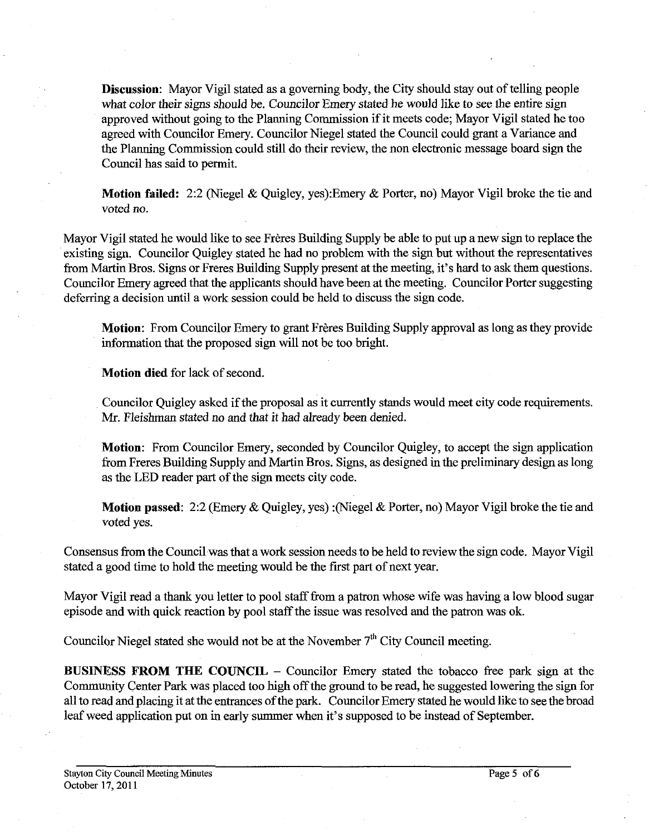Discussion: Mayor Vigil stated as a governing body, the City should stay out of telling people what color their signs should be. Councilor Emery stated he would like to see the entire sign approved without going to the Planning Commission if it meets code; Mayor Vigil stated he too agreed with Councilor Emery. Councilor Niegel stated the Council could grant a Variance and the Planning Commission could still do their review, the non electronic message board sign the Council has said to permit.

**Motion failed:** 2:2 (Niegel & Quigley, yes): Emery & Porter, no) Mayor Vigil broke the tie and voted no.

Mayor Vigil stated he would like to see Frères Building Supply be able to put up a new sign to replace the existing sign. Councilor Quigley stated he had no problem with the sign but without the representatives from Martin Bros. Signs or Freres Building Supply present at the meeting, it's hard to ask them questions. Councilor Emery agreed that the applicants should have been at the meeting. Councilor Porter suggesting deferring a decision until a work session could be held to discuss the sign code.

Motion: From Councilor Emery to grant Frères Building Supply approval as long as they provide information that the proposed sign will not be too bright.

Motion died for lack of second.

Councilor Quigley asked if the proposal as it currently stands would meet city code requirements. Mr. Fleishman stated no and that it had already been denied.

Motion: From Councilor Emery, seconded by Councilor Quigley, to accept the sign application from Freres Building Supply and Martin Bros. Signs, as designed in the preliminary design as long as the LED reader part of the sign meets city code.

**Motion passed:** 2:2 (Emery & Quigley, yes) :(Niegel & Porter, no) Mayor Vigil broke the tie and voted yes.

Consensus from the Council was that a work session needs to be held to review the sign code. Mayor Vigil stated a good time to hold the meeting would be the first part of next year.

Mayor Vigil read a thank you letter to pool staff from a patron whose wife was having a low blood sugar episode and with quick reaction by pool staff the issue was resolved and the patron was ok.

Councilor Niegel stated she would not be at the November  $7<sup>th</sup>$  City Council meeting.

BUSINESS FROM THE COUNCIL - Councilor Emery stated the tobacco free park sign at the Community Center Park was placed too high off the ground to be read, he suggested lowering the sign for all to read and placing it at the entrances of the park. Councilor Emery stated he would like to see the broad leaf weed application put on in early summer when it's supposed to be instead of September.